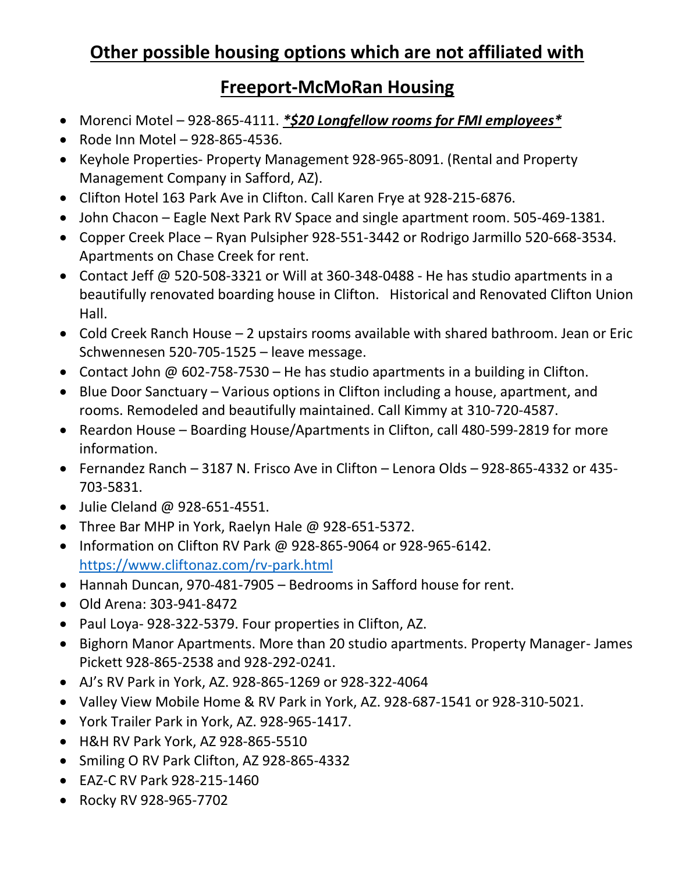# **Other possible housing options which are not affiliated with**

## **Freeport-McMoRan Housing**

- Morenci Motel 928-865-4111. *\*\$20 Longfellow rooms for FMI employees\**
- Rode Inn Motel 928-865-4536.
- Keyhole Properties- Property Management 928-965-8091. (Rental and Property Management Company in Safford, AZ).
- Clifton Hotel 163 Park Ave in Clifton. Call Karen Frye at 928-215-6876.
- John Chacon Eagle Next Park RV Space and single apartment room. 505-469-1381.
- Copper Creek Place Ryan Pulsipher 928-551-3442 or Rodrigo Jarmillo 520-668-3534. Apartments on Chase Creek for rent.
- Contact Jeff @ 520-508-3321 or Will at 360-348-0488 He has studio apartments in a beautifully renovated boarding house in Clifton. Historical and Renovated Clifton Union Hall.
- Cold Creek Ranch House 2 upstairs rooms available with shared bathroom. Jean or Eric Schwennesen 520-705-1525 – leave message.
- Contact John @ 602-758-7530 He has studio apartments in a building in Clifton.
- Blue Door Sanctuary Various options in Clifton including a house, apartment, and rooms. Remodeled and beautifully maintained. Call Kimmy at 310-720-4587.
- Reardon House Boarding House/Apartments in Clifton, call 480-599-2819 for more information.
- Fernandez Ranch 3187 N. Frisco Ave in Clifton Lenora Olds 928-865-4332 or 435- 703-5831.
- Julie Cleland @ 928-651-4551.
- Three Bar MHP in York, Raelyn Hale @ 928-651-5372.
- Information on Clifton RV Park @ 928-865-9064 or 928-965-6142. [https://www.cliftonaz.com/rv-park.html](http://www.graham-chamber.com/Business/Gila_River_Apartments/)
- Hannah Duncan, 970-481-7905 Bedrooms in Safford house for rent.
- Old Arena: 303-941-8472
- Paul Loya- 928-322-5379. Four properties in Clifton, AZ.
- Bighorn Manor Apartments. More than 20 studio apartments. Property Manager- James Pickett 928-865-2538 and 928-292-0241.
- AJ's RV Park in York, AZ. 928-865-1269 or 928-322-4064
- Valley View Mobile Home & RV Park in York, AZ. 928-687-1541 or 928-310-5021.
- York Trailer Park in York, AZ. 928-965-1417.
- H&H RV Park York, AZ 928-865-5510
- Smiling O RV Park Clifton, AZ 928-865-4332
- EAZ-C RV Park 928-215-1460
- Rocky RV 928-965-7702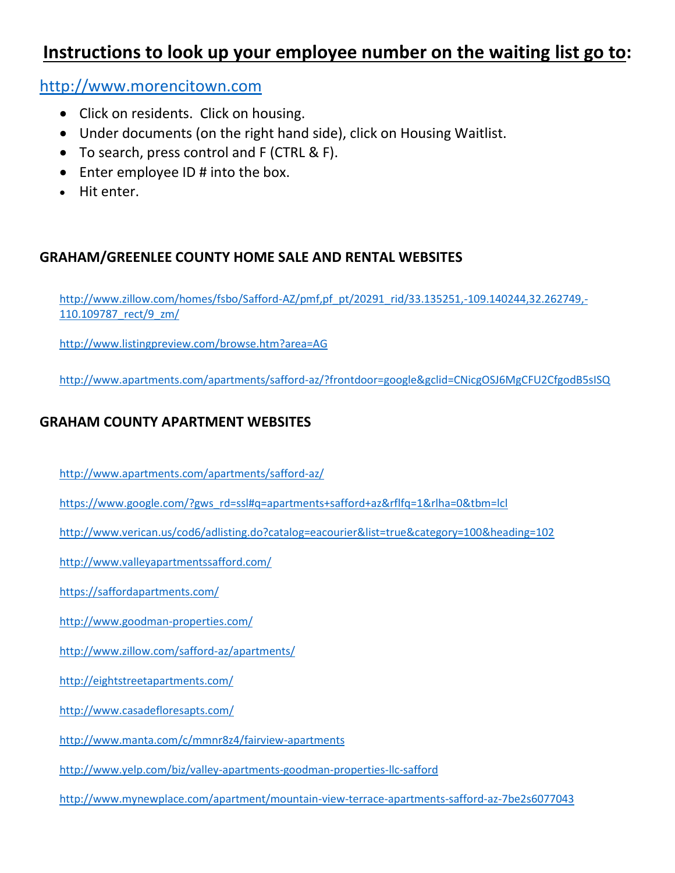## **Instructions to look up your employee number on the waiting list go to:**

[http://www.morencitown.com](http://www.zillow.com/safford-az/apartments/)

- Click on residents. Click on housing.
- Under documents (on the right hand side), click on Housing Waitlist.
- To search, press control and F (CTRL & F).
- Enter employee ID # into the box.
- Hit enter.

#### **GRAHAM/GREENLEE COUNTY HOME SALE AND RENTAL WEBSITES**

[http://www.zillow.com/homes/fsbo/Safford-AZ/pmf,pf\\_pt/20291\\_rid/33.135251,-109.140244,32.262749,-](http://www.yelp.com/biz/valley-apartments-goodman-properties-llc-safford) [110.109787\\_rect/9\\_zm/](http://www.yelp.com/biz/valley-apartments-goodman-properties-llc-safford)

[http://www.listingpreview.com/browse.htm?area=AG](http://eightstreetapartments.com/?area=AG)

[http://www.apartments.com/apartments/safford-az/?frontdoor=google&gclid=CNicgOSJ6MgCFU2CfgodB5sISQ](http://www.casadefloresapts.com/?frontdoor=google&gclid=CNicgOSJ6MgCFU2CfgodB5sISQ)

### **GRAHAM COUNTY APARTMENT WEBSITES**

[http://www.apartments.com/apartments/safford-az/](https://www.cliftonaz.com/rv-park.html)

- [https://www.google.com/?gws\\_rd=ssl#q=apartments+safford+az&rflfq=1&rlha=0&tbm=lcl](http://www.morencitown.com/#q=apartments+safford+az&rflfq=1&rlha=0&tbm=lcl)
- [http://www.verican.us/cod6/adlisting.do?catalog=eacourier&list=true&category=100&heading=102](http://www.mynewplace.com/apartment/mountain-view-terrace-apartments-safford-az-7be2s6077043?catalog=eacourier&list=true&category=100&heading=102)

[http://www.valleyapartmentssafford.com/](http://low-income-housing.credio.com/l/1351/Pinaleno-Foothills-Apartments)

- [https://saffordapartments.com/](http://www.apartments.com/apartments/safford-az/)
- [http://www.goodman-properties.com/](http://www.apartments.com/apartments/safford-az/)
- [http://www.zillow.com/safford-az/apartments/](http://www.zillow.com/homes/fsbo/Safford-AZ/pmf,pf_pt/20291_rid/33.135251,-109.140244,32.262749,-110.109787_rect/9_zm/)
- [http://eightstreetapartments.com/](http://www.valleyapartmentssafford.com/)
- [http://www.casadefloresapts.com/](http://www.local.com/business/details/safford-az/graham-apartments-106471517/)
- [http://www.manta.com/c/mmnr8z4/fairview-apartments](https://www.google.com/)
- [http://www.yelp.com/biz/valley-apartments-goodman-properties-llc-safford](http://www.verican.us/cod6/adlisting.do)
- [http://www.mynewplace.com/apartment/mountain-view-terrace-apartments-safford-az-7be2s6077043](http://www.listingpreview.com/browse.htm)